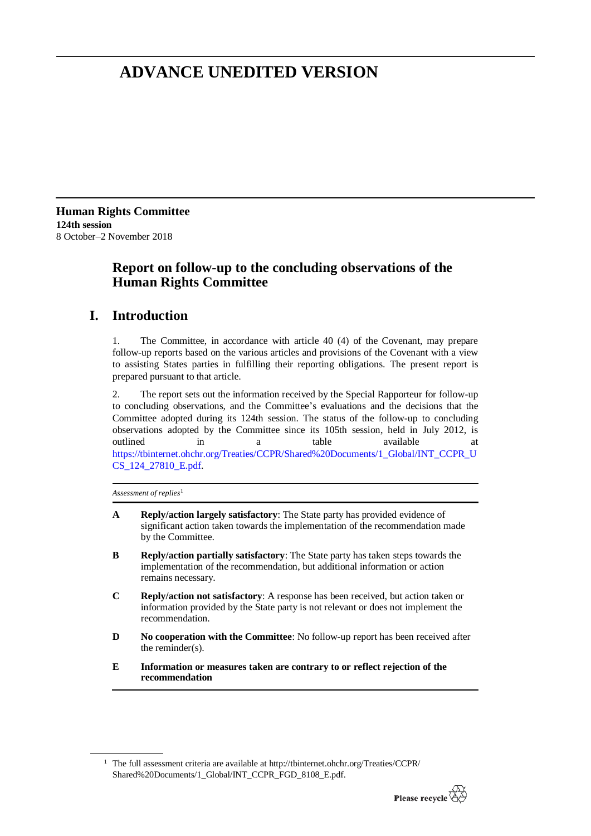# **ADVANCE UNEDITED VERSION**

**Human Rights Committee 124th session** 8 October–2 November 2018

# **Report on follow-up to the concluding observations of the Human Rights Committee**

# **I. Introduction**

1. The Committee, in accordance with article 40 (4) of the Covenant, may prepare follow-up reports based on the various articles and provisions of the Covenant with a view to assisting States parties in fulfilling their reporting obligations. The present report is prepared pursuant to that article.

2. The report sets out the information received by the Special Rapporteur for follow-up to concluding observations, and the Committee's evaluations and the decisions that the Committee adopted during its 124th session. The status of the follow-up to concluding observations adopted by the Committee since its 105th session, held in July 2012, is outlined in a table available at [https://tbinternet.ohchr.org/Treaties/CCPR/Shared%20Documents/1\\_Global/INT\\_CCPR\\_U](https://tbinternet.ohchr.org/Treaties/CCPR/Shared%20Documents/1_Global/INT_CCPR_UCS_124_27810_E.pdf) [CS\\_124\\_27810\\_E.pdf.](https://tbinternet.ohchr.org/Treaties/CCPR/Shared%20Documents/1_Global/INT_CCPR_UCS_124_27810_E.pdf)

*Assessment of replies*<sup>1</sup>

- **A Reply/action largely satisfactory**: The State party has provided evidence of significant action taken towards the implementation of the recommendation made by the Committee.
- **B Reply/action partially satisfactory**: The State party has taken steps towards the implementation of the recommendation, but additional information or action remains necessary.
- **C Reply/action not satisfactory**: A response has been received, but action taken or information provided by the State party is not relevant or does not implement the recommendation.
- **D No cooperation with the Committee**: No follow-up report has been received after the reminder(s).
- **E Information or measures taken are contrary to or reflect rejection of the recommendation**

<sup>&</sup>lt;sup>1</sup> The full assessment criteria are available at [http://tbinternet.ohchr.org/Treaties/CCPR/](http://tbinternet.ohchr.org/Treaties/CCPR/Shared%20Documents/1_Global/INT_CCPR_FGD_8108_E.pdf) [Shared%20Documents/1\\_Global/INT\\_CCPR\\_FGD\\_8108\\_E.pdf.](http://tbinternet.ohchr.org/Treaties/CCPR/Shared%20Documents/1_Global/INT_CCPR_FGD_8108_E.pdf)

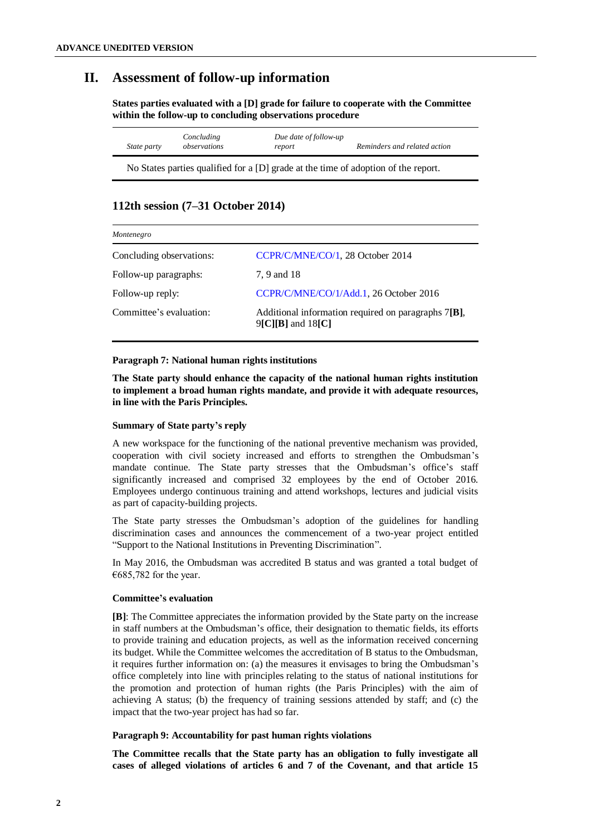# **II. Assessment of follow-up information**

**States parties evaluated with a [D] grade for failure to cooperate with the Committee within the follow-up to concluding observations procedure**

| State party | Concluding<br>observations | Due date of follow-up<br>report | Reminders and related action |
|-------------|----------------------------|---------------------------------|------------------------------|
|-------------|----------------------------|---------------------------------|------------------------------|

No States parties qualified for a [D] grade at the time of adoption of the report.

# **112th session (7–31 October 2014)**

| Montenegro               |                                                                                               |  |
|--------------------------|-----------------------------------------------------------------------------------------------|--|
| Concluding observations: | CCPR/C/MNE/CO/1, 28 October 2014                                                              |  |
| Follow-up paragraphs:    | 7, 9 and 18                                                                                   |  |
| Follow-up reply:         | CCPR/C/MNE/CO/1/Add.1, 26 October 2016                                                        |  |
| Committee's evaluation:  | Additional information required on paragraphs $7[B]$ ,<br>$9\text{[C][B]}$ and $18\text{[C]}$ |  |

# **Paragraph 7: National human rights institutions**

**The State party should enhance the capacity of the national human rights institution to implement a broad human rights mandate, and provide it with adequate resources, in line with the Paris Principles.**

# **Summary of State party's reply**

A new workspace for the functioning of the national preventive mechanism was provided, cooperation with civil society increased and efforts to strengthen the Ombudsman's mandate continue. The State party stresses that the Ombudsman's office's staff significantly increased and comprised 32 employees by the end of October 2016. Employees undergo continuous training and attend workshops, lectures and judicial visits as part of capacity-building projects.

The State party stresses the Ombudsman's adoption of the guidelines for handling discrimination cases and announces the commencement of a two-year project entitled "Support to the National Institutions in Preventing Discrimination".

In May 2016, the Ombudsman was accredited B status and was granted a total budget of €685,782 for the year.

# **Committee's evaluation**

**[B]**: The Committee appreciates the information provided by the State party on the increase in staff numbers at the Ombudsman's office, their designation to thematic fields, its efforts to provide training and education projects, as well as the information received concerning its budget. While the Committee welcomes the accreditation of B status to the Ombudsman, it requires further information on: (a) the measures it envisages to bring the Ombudsman's office completely into line with principles relating to the status of national institutions for the promotion and protection of human rights (the Paris Principles) with the aim of achieving A status; (b) the frequency of training sessions attended by staff; and (c) the impact that the two-year project has had so far.

# **Paragraph 9: Accountability for past human rights violations**

**The Committee recalls that the State party has an obligation to fully investigate all cases of alleged violations of articles 6 and 7 of the Covenant, and that article 15**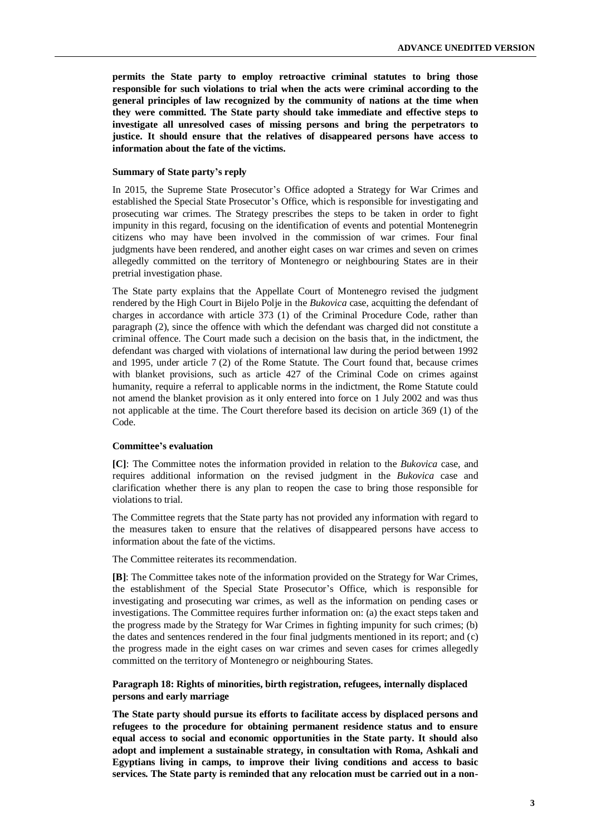**permits the State party to employ retroactive criminal statutes to bring those responsible for such violations to trial when the acts were criminal according to the general principles of law recognized by the community of nations at the time when they were committed. The State party should take immediate and effective steps to investigate all unresolved cases of missing persons and bring the perpetrators to justice. It should ensure that the relatives of disappeared persons have access to information about the fate of the victims.** 

#### **Summary of State party's reply**

In 2015, the Supreme State Prosecutor's Office adopted a Strategy for War Crimes and established the Special State Prosecutor's Office, which is responsible for investigating and prosecuting war crimes. The Strategy prescribes the steps to be taken in order to fight impunity in this regard, focusing on the identification of events and potential Montenegrin citizens who may have been involved in the commission of war crimes. Four final judgments have been rendered, and another eight cases on war crimes and seven on crimes allegedly committed on the territory of Montenegro or neighbouring States are in their pretrial investigation phase.

The State party explains that the Appellate Court of Montenegro revised the judgment rendered by the High Court in Bijelo Polje in the *Bukovica* case, acquitting the defendant of charges in accordance with article 373 (1) of the Criminal Procedure Code, rather than paragraph (2), since the offence with which the defendant was charged did not constitute a criminal offence. The Court made such a decision on the basis that, in the indictment, the defendant was charged with violations of international law during the period between 1992 and 1995, under article 7 (2) of the Rome Statute. The Court found that, because crimes with blanket provisions, such as article 427 of the Criminal Code on crimes against humanity, require a referral to applicable norms in the indictment, the Rome Statute could not amend the blanket provision as it only entered into force on 1 July 2002 and was thus not applicable at the time. The Court therefore based its decision on article 369 (1) of the Code.

#### **Committee's evaluation**

**[C]**: The Committee notes the information provided in relation to the *Bukovica* case, and requires additional information on the revised judgment in the *Bukovica* case and clarification whether there is any plan to reopen the case to bring those responsible for violations to trial.

The Committee regrets that the State party has not provided any information with regard to the measures taken to ensure that the relatives of disappeared persons have access to information about the fate of the victims.

The Committee reiterates its recommendation.

**[B]**: The Committee takes note of the information provided on the Strategy for War Crimes, the establishment of the Special State Prosecutor's Office, which is responsible for investigating and prosecuting war crimes, as well as the information on pending cases or investigations. The Committee requires further information on: (a) the exact steps taken and the progress made by the Strategy for War Crimes in fighting impunity for such crimes; (b) the dates and sentences rendered in the four final judgments mentioned in its report; and (c) the progress made in the eight cases on war crimes and seven cases for crimes allegedly committed on the territory of Montenegro or neighbouring States.

# **Paragraph 18: Rights of minorities, birth registration, refugees, internally displaced persons and early marriage**

**The State party should pursue its efforts to facilitate access by displaced persons and refugees to the procedure for obtaining permanent residence status and to ensure equal access to social and economic opportunities in the State party. It should also adopt and implement a sustainable strategy, in consultation with Roma, Ashkali and Egyptians living in camps, to improve their living conditions and access to basic services. The State party is reminded that any relocation must be carried out in a non-**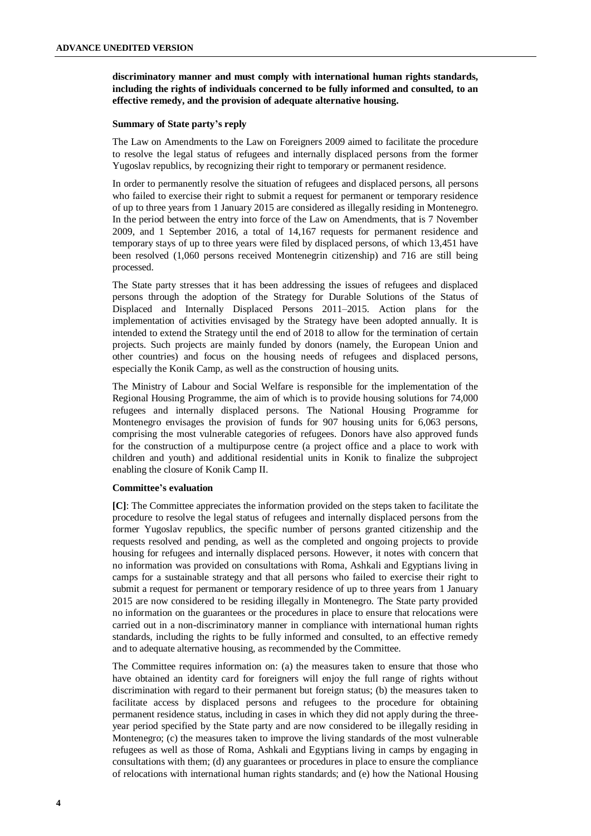**discriminatory manner and must comply with international human rights standards, including the rights of individuals concerned to be fully informed and consulted, to an effective remedy, and the provision of adequate alternative housing.**

# **Summary of State party's reply**

The Law on Amendments to the Law on Foreigners 2009 aimed to facilitate the procedure to resolve the legal status of refugees and internally displaced persons from the former Yugoslav republics, by recognizing their right to temporary or permanent residence.

In order to permanently resolve the situation of refugees and displaced persons, all persons who failed to exercise their right to submit a request for permanent or temporary residence of up to three years from 1 January 2015 are considered as illegally residing in Montenegro. In the period between the entry into force of the Law on Amendments, that is 7 November 2009, and 1 September 2016, a total of 14,167 requests for permanent residence and temporary stays of up to three years were filed by displaced persons, of which 13,451 have been resolved (1,060 persons received Montenegrin citizenship) and 716 are still being processed.

The State party stresses that it has been addressing the issues of refugees and displaced persons through the adoption of the Strategy for Durable Solutions of the Status of Displaced and Internally Displaced Persons 2011–2015. Action plans for the implementation of activities envisaged by the Strategy have been adopted annually. It is intended to extend the Strategy until the end of 2018 to allow for the termination of certain projects. Such projects are mainly funded by donors (namely, the European Union and other countries) and focus on the housing needs of refugees and displaced persons, especially the Konik Camp, as well as the construction of housing units.

The Ministry of Labour and Social Welfare is responsible for the implementation of the Regional Housing Programme, the aim of which is to provide housing solutions for 74,000 refugees and internally displaced persons. The National Housing Programme for Montenegro envisages the provision of funds for 907 housing units for 6,063 persons, comprising the most vulnerable categories of refugees. Donors have also approved funds for the construction of a multipurpose centre (a project office and a place to work with children and youth) and additional residential units in Konik to finalize the subproject enabling the closure of Konik Camp II.

# **Committee's evaluation**

**[C]**: The Committee appreciates the information provided on the steps taken to facilitate the procedure to resolve the legal status of refugees and internally displaced persons from the former Yugoslav republics, the specific number of persons granted citizenship and the requests resolved and pending, as well as the completed and ongoing projects to provide housing for refugees and internally displaced persons. However, it notes with concern that no information was provided on consultations with Roma, Ashkali and Egyptians living in camps for a sustainable strategy and that all persons who failed to exercise their right to submit a request for permanent or temporary residence of up to three years from 1 January 2015 are now considered to be residing illegally in Montenegro. The State party provided no information on the guarantees or the procedures in place to ensure that relocations were carried out in a non-discriminatory manner in compliance with international human rights standards, including the rights to be fully informed and consulted, to an effective remedy and to adequate alternative housing, as recommended by the Committee.

The Committee requires information on: (a) the measures taken to ensure that those who have obtained an identity card for foreigners will enjoy the full range of rights without discrimination with regard to their permanent but foreign status; (b) the measures taken to facilitate access by displaced persons and refugees to the procedure for obtaining permanent residence status, including in cases in which they did not apply during the threeyear period specified by the State party and are now considered to be illegally residing in Montenegro; (c) the measures taken to improve the living standards of the most vulnerable refugees as well as those of Roma, Ashkali and Egyptians living in camps by engaging in consultations with them; (d) any guarantees or procedures in place to ensure the compliance of relocations with international human rights standards; and (e) how the National Housing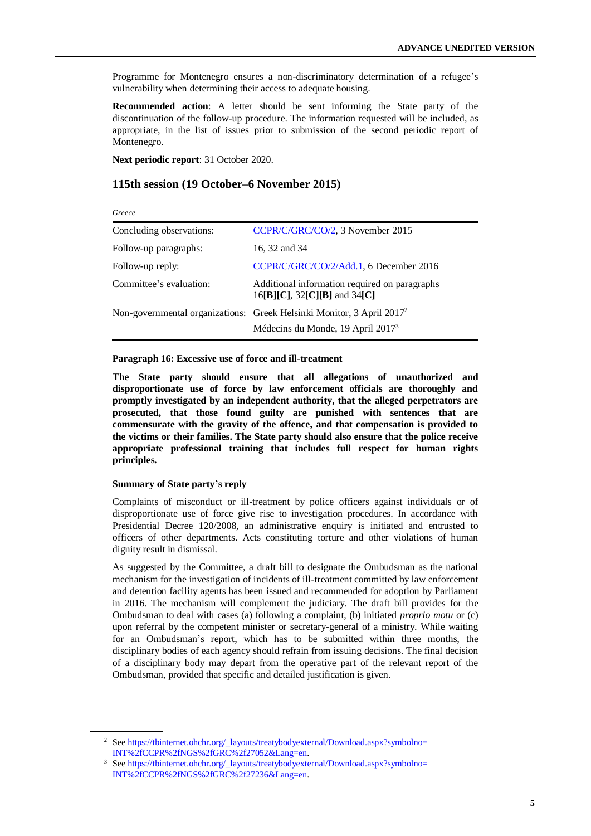Programme for Montenegro ensures a non-discriminatory determination of a refugee's vulnerability when determining their access to adequate housing.

**Recommended action**: A letter should be sent informing the State party of the discontinuation of the follow-up procedure. The information requested will be included, as appropriate, in the list of issues prior to submission of the second periodic report of Montenegro.

**Next periodic report**: 31 October 2020.

# **115th session (19 October–6 November 2015)**

| Greece                   |                                                                                        |
|--------------------------|----------------------------------------------------------------------------------------|
| Concluding observations: | CCPR/C/GRC/CO/2, 3 November 2015                                                       |
| Follow-up paragraphs:    | 16, 32 and 34                                                                          |
| Follow-up reply:         | CCPR/C/GRC/CO/2/Add.1, 6 December 2016                                                 |
| Committee's evaluation:  | Additional information required on paragraphs<br>$16$ [B][C], $32$ [C][B] and $34$ [C] |
|                          | Non-governmental organizations: Greek Helsinki Monitor, 3 April 2017 <sup>2</sup>      |
|                          | Médecins du Monde, 19 April 2017 <sup>3</sup>                                          |

#### **Paragraph 16: Excessive use of force and ill-treatment**

**The State party should ensure that all allegations of unauthorized and disproportionate use of force by law enforcement officials are thoroughly and promptly investigated by an independent authority, that the alleged perpetrators are prosecuted, that those found guilty are punished with sentences that are commensurate with the gravity of the offence, and that compensation is provided to the victims or their families. The State party should also ensure that the police receive appropriate professional training that includes full respect for human rights principles.**

#### **Summary of State party's reply**

Complaints of misconduct or ill-treatment by police officers against individuals or of disproportionate use of force give rise to investigation procedures. In accordance with Presidential Decree 120/2008, an administrative enquiry is initiated and entrusted to officers of other departments. Acts constituting torture and other violations of human dignity result in dismissal.

As suggested by the Committee, a draft bill to designate the Ombudsman as the national mechanism for the investigation of incidents of ill-treatment committed by law enforcement and detention facility agents has been issued and recommended for adoption by Parliament in 2016. The mechanism will complement the judiciary. The draft bill provides for the Ombudsman to deal with cases (a) following a complaint, (b) initiated *proprio motu* or (c) upon referral by the competent minister or secretary-general of a ministry. While waiting for an Ombudsman's report, which has to be submitted within three months, the disciplinary bodies of each agency should refrain from issuing decisions. The final decision of a disciplinary body may depart from the operative part of the relevant report of the Ombudsman, provided that specific and detailed justification is given.

<sup>&</sup>lt;sup>2</sup> See https://tbinternet.ohchr.org/\_layouts/treatybodyexternal/Download.aspx?symbolno= [INT%2fCCPR%2fNGS%2fGRC%2f27052&Lang=en.](https://tbinternet.ohchr.org/_layouts/treatybodyexternal/Download.aspx?symbolno=INT%2fCCPR%2fNGS%2fGRC%2f27052&Lang=en)

<sup>&</sup>lt;sup>3</sup> See https://tbinternet.ohchr.org/\_layouts/treatybodyexternal/Download.aspx?symbolno= [INT%2fCCPR%2fNGS%2fGRC%2f27236&Lang=en.](https://tbinternet.ohchr.org/_layouts/treatybodyexternal/Download.aspx?symbolno=INT%2fCCPR%2fNGS%2fGRC%2f27236&Lang=en)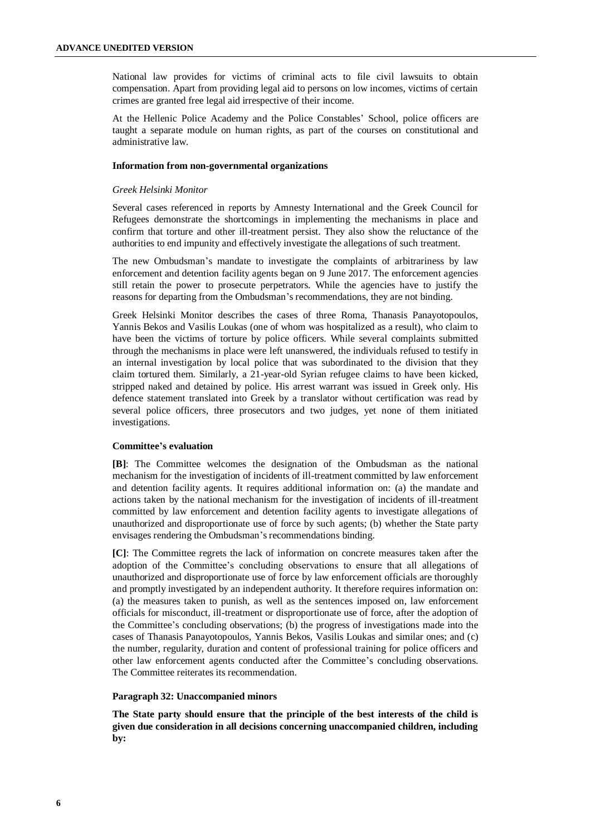National law provides for victims of criminal acts to file civil lawsuits to obtain compensation. Apart from providing legal aid to persons on low incomes, victims of certain crimes are granted free legal aid irrespective of their income.

At the Hellenic Police Academy and the Police Constables' School, police officers are taught a separate module on human rights, as part of the courses on constitutional and administrative law.

#### **Information from non-governmental organizations**

#### *Greek Helsinki Monitor*

Several cases referenced in reports by Amnesty International and the Greek Council for Refugees demonstrate the shortcomings in implementing the mechanisms in place and confirm that torture and other ill-treatment persist. They also show the reluctance of the authorities to end impunity and effectively investigate the allegations of such treatment.

The new Ombudsman's mandate to investigate the complaints of arbitrariness by law enforcement and detention facility agents began on 9 June 2017. The enforcement agencies still retain the power to prosecute perpetrators. While the agencies have to justify the reasons for departing from the Ombudsman's recommendations, they are not binding.

Greek Helsinki Monitor describes the cases of three Roma, Thanasis Panayotopoulos, Yannis Bekos and Vasilis Loukas (one of whom was hospitalized as a result), who claim to have been the victims of torture by police officers. While several complaints submitted through the mechanisms in place were left unanswered, the individuals refused to testify in an internal investigation by local police that was subordinated to the division that they claim tortured them. Similarly, a 21-year-old Syrian refugee claims to have been kicked, stripped naked and detained by police. His arrest warrant was issued in Greek only. His defence statement translated into Greek by a translator without certification was read by several police officers, three prosecutors and two judges, yet none of them initiated investigations.

#### **Committee's evaluation**

**[B]**: The Committee welcomes the designation of the Ombudsman as the national mechanism for the investigation of incidents of ill-treatment committed by law enforcement and detention facility agents. It requires additional information on: (a) the mandate and actions taken by the national mechanism for the investigation of incidents of ill-treatment committed by law enforcement and detention facility agents to investigate allegations of unauthorized and disproportionate use of force by such agents; (b) whether the State party envisages rendering the Ombudsman's recommendations binding.

**[C]**: The Committee regrets the lack of information on concrete measures taken after the adoption of the Committee's concluding observations to ensure that all allegations of unauthorized and disproportionate use of force by law enforcement officials are thoroughly and promptly investigated by an independent authority. It therefore requires information on: (a) the measures taken to punish, as well as the sentences imposed on, law enforcement officials for misconduct, ill-treatment or disproportionate use of force, after the adoption of the Committee's concluding observations; (b) the progress of investigations made into the cases of Thanasis Panayotopoulos, Yannis Bekos, Vasilis Loukas and similar ones; and (c) the number, regularity, duration and content of professional training for police officers and other law enforcement agents conducted after the Committee's concluding observations. The Committee reiterates its recommendation.

#### **Paragraph 32: Unaccompanied minors**

**The State party should ensure that the principle of the best interests of the child is given due consideration in all decisions concerning unaccompanied children, including by:**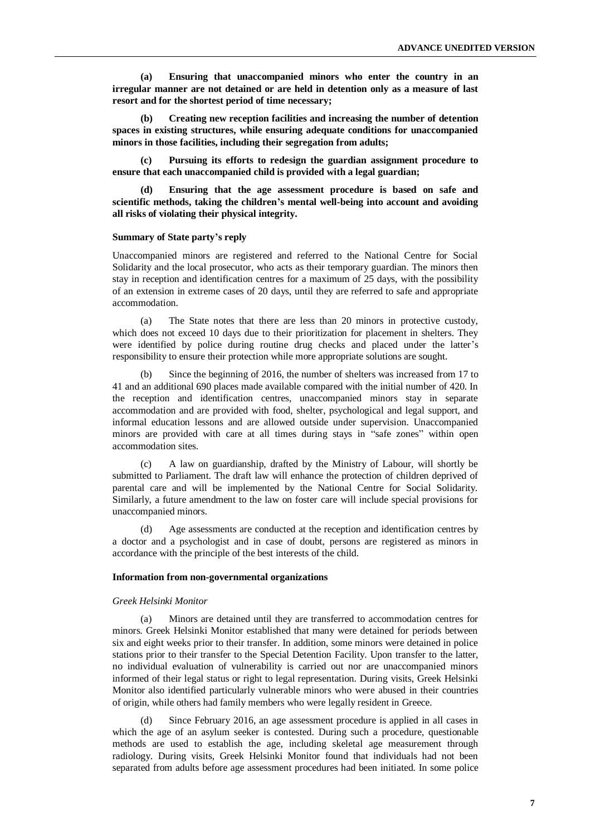**(a) Ensuring that unaccompanied minors who enter the country in an irregular manner are not detained or are held in detention only as a measure of last resort and for the shortest period of time necessary;**

**(b) Creating new reception facilities and increasing the number of detention spaces in existing structures, while ensuring adequate conditions for unaccompanied minors in those facilities, including their segregation from adults;**

**(c) Pursuing its efforts to redesign the guardian assignment procedure to ensure that each unaccompanied child is provided with a legal guardian;**

**(d) Ensuring that the age assessment procedure is based on safe and scientific methods, taking the children's mental well-being into account and avoiding all risks of violating their physical integrity.** 

#### **Summary of State party's reply**

Unaccompanied minors are registered and referred to the National Centre for Social Solidarity and the local prosecutor, who acts as their temporary guardian. The minors then stay in reception and identification centres for a maximum of 25 days, with the possibility of an extension in extreme cases of 20 days, until they are referred to safe and appropriate accommodation.

(a) The State notes that there are less than 20 minors in protective custody, which does not exceed 10 days due to their prioritization for placement in shelters. They were identified by police during routine drug checks and placed under the latter's responsibility to ensure their protection while more appropriate solutions are sought.

(b) Since the beginning of 2016, the number of shelters was increased from 17 to 41 and an additional 690 places made available compared with the initial number of 420. In the reception and identification centres, unaccompanied minors stay in separate accommodation and are provided with food, shelter, psychological and legal support, and informal education lessons and are allowed outside under supervision. Unaccompanied minors are provided with care at all times during stays in "safe zones" within open accommodation sites.

(c) A law on guardianship, drafted by the Ministry of Labour, will shortly be submitted to Parliament. The draft law will enhance the protection of children deprived of parental care and will be implemented by the National Centre for Social Solidarity. Similarly, a future amendment to the law on foster care will include special provisions for unaccompanied minors.

(d) Age assessments are conducted at the reception and identification centres by a doctor and a psychologist and in case of doubt, persons are registered as minors in accordance with the principle of the best interests of the child.

#### **Information from non-governmental organizations**

#### *Greek Helsinki Monitor*

(a) Minors are detained until they are transferred to accommodation centres for minors. Greek Helsinki Monitor established that many were detained for periods between six and eight weeks prior to their transfer. In addition, some minors were detained in police stations prior to their transfer to the Special Detention Facility. Upon transfer to the latter, no individual evaluation of vulnerability is carried out nor are unaccompanied minors informed of their legal status or right to legal representation. During visits, Greek Helsinki Monitor also identified particularly vulnerable minors who were abused in their countries of origin, while others had family members who were legally resident in Greece.

(d) Since February 2016, an age assessment procedure is applied in all cases in which the age of an asylum seeker is contested. During such a procedure, questionable methods are used to establish the age, including skeletal age measurement through radiology. During visits, Greek Helsinki Monitor found that individuals had not been separated from adults before age assessment procedures had been initiated. In some police

**7**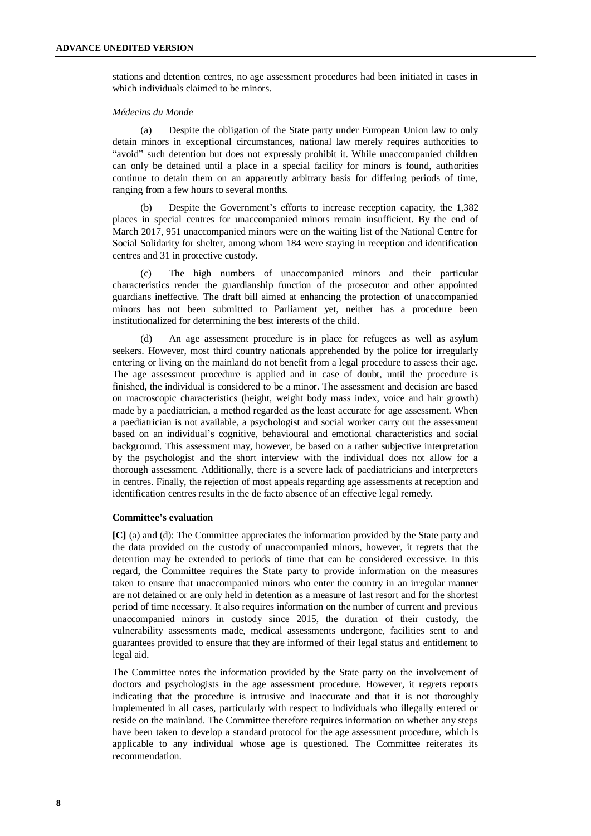stations and detention centres, no age assessment procedures had been initiated in cases in which individuals claimed to be minors.

#### *Médecins du Monde*

(a) Despite the obligation of the State party under European Union law to only detain minors in exceptional circumstances, national law merely requires authorities to "avoid" such detention but does not expressly prohibit it. While unaccompanied children can only be detained until a place in a special facility for minors is found, authorities continue to detain them on an apparently arbitrary basis for differing periods of time, ranging from a few hours to several months.

(b) Despite the Government's efforts to increase reception capacity, the 1,382 places in special centres for unaccompanied minors remain insufficient. By the end of March 2017, 951 unaccompanied minors were on the waiting list of the National Centre for Social Solidarity for shelter, among whom 184 were staying in reception and identification centres and 31 in protective custody.

(c) The high numbers of unaccompanied minors and their particular characteristics render the guardianship function of the prosecutor and other appointed guardians ineffective. The draft bill aimed at enhancing the protection of unaccompanied minors has not been submitted to Parliament yet, neither has a procedure been institutionalized for determining the best interests of the child.

(d) An age assessment procedure is in place for refugees as well as asylum seekers. However, most third country nationals apprehended by the police for irregularly entering or living on the mainland do not benefit from a legal procedure to assess their age. The age assessment procedure is applied and in case of doubt, until the procedure is finished, the individual is considered to be a minor. The assessment and decision are based on macroscopic characteristics (height, weight body mass index, voice and hair growth) made by a paediatrician, a method regarded as the least accurate for age assessment. When a paediatrician is not available, a psychologist and social worker carry out the assessment based on an individual's cognitive, behavioural and emotional characteristics and social background. This assessment may, however, be based on a rather subjective interpretation by the psychologist and the short interview with the individual does not allow for a thorough assessment. Additionally, there is a severe lack of paediatricians and interpreters in centres. Finally, the rejection of most appeals regarding age assessments at reception and identification centres results in the de facto absence of an effective legal remedy.

#### **Committee's evaluation**

**[C]** (a) and (d): The Committee appreciates the information provided by the State party and the data provided on the custody of unaccompanied minors, however, it regrets that the detention may be extended to periods of time that can be considered excessive. In this regard, the Committee requires the State party to provide information on the measures taken to ensure that unaccompanied minors who enter the country in an irregular manner are not detained or are only held in detention as a measure of last resort and for the shortest period of time necessary. It also requires information on the number of current and previous unaccompanied minors in custody since 2015, the duration of their custody, the vulnerability assessments made, medical assessments undergone, facilities sent to and guarantees provided to ensure that they are informed of their legal status and entitlement to legal aid.

The Committee notes the information provided by the State party on the involvement of doctors and psychologists in the age assessment procedure. However, it regrets reports indicating that the procedure is intrusive and inaccurate and that it is not thoroughly implemented in all cases, particularly with respect to individuals who illegally entered or reside on the mainland. The Committee therefore requires information on whether any steps have been taken to develop a standard protocol for the age assessment procedure, which is applicable to any individual whose age is questioned. The Committee reiterates its recommendation.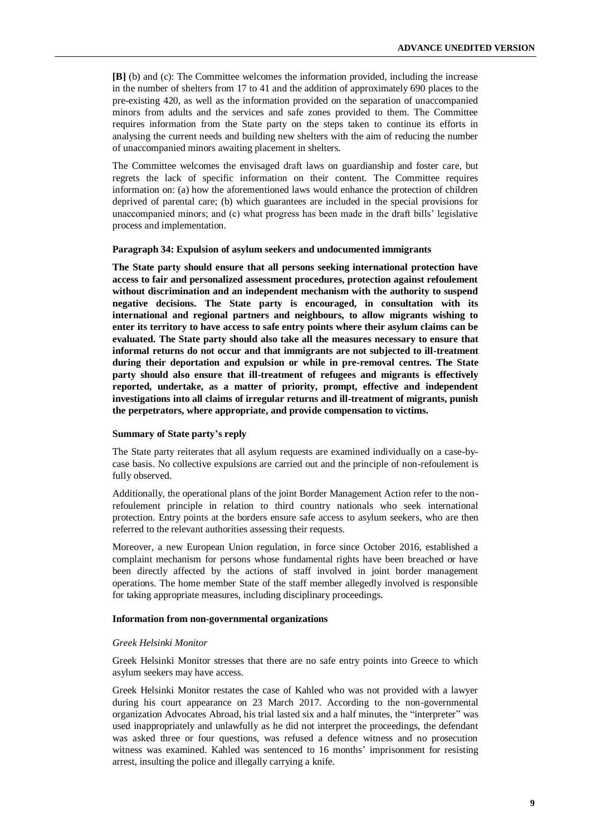**[B]** (b) and (c): The Committee welcomes the information provided, including the increase in the number of shelters from 17 to 41 and the addition of approximately 690 places to the pre-existing 420, as well as the information provided on the separation of unaccompanied minors from adults and the services and safe zones provided to them. The Committee requires information from the State party on the steps taken to continue its efforts in analysing the current needs and building new shelters with the aim of reducing the number of unaccompanied minors awaiting placement in shelters.

The Committee welcomes the envisaged draft laws on guardianship and foster care, but regrets the lack of specific information on their content. The Committee requires information on: (a) how the aforementioned laws would enhance the protection of children deprived of parental care; (b) which guarantees are included in the special provisions for unaccompanied minors; and (c) what progress has been made in the draft bills' legislative process and implementation.

#### **Paragraph 34: Expulsion of asylum seekers and undocumented immigrants**

**The State party should ensure that all persons seeking international protection have access to fair and personalized assessment procedures, protection against refoulement without discrimination and an independent mechanism with the authority to suspend negative decisions. The State party is encouraged, in consultation with its international and regional partners and neighbours, to allow migrants wishing to enter its territory to have access to safe entry points where their asylum claims can be evaluated. The State party should also take all the measures necessary to ensure that informal returns do not occur and that immigrants are not subjected to ill-treatment during their deportation and expulsion or while in pre-removal centres. The State party should also ensure that ill-treatment of refugees and migrants is effectively reported, undertake, as a matter of priority, prompt, effective and independent investigations into all claims of irregular returns and ill-treatment of migrants, punish the perpetrators, where appropriate, and provide compensation to victims.**

#### **Summary of State party's reply**

The State party reiterates that all asylum requests are examined individually on a case-bycase basis. No collective expulsions are carried out and the principle of non-refoulement is fully observed.

Additionally, the operational plans of the joint Border Management Action refer to the nonrefoulement principle in relation to third country nationals who seek international protection. Entry points at the borders ensure safe access to asylum seekers, who are then referred to the relevant authorities assessing their requests.

Moreover, a new European Union regulation, in force since October 2016, established a complaint mechanism for persons whose fundamental rights have been breached or have been directly affected by the actions of staff involved in joint border management operations. The home member State of the staff member allegedly involved is responsible for taking appropriate measures, including disciplinary proceedings.

#### **Information from non-governmental organizations**

#### *Greek Helsinki Monitor*

Greek Helsinki Monitor stresses that there are no safe entry points into Greece to which asylum seekers may have access.

Greek Helsinki Monitor restates the case of Kahled who was not provided with a lawyer during his court appearance on 23 March 2017. According to the non-governmental organization Advocates Abroad, his trial lasted six and a half minutes, the "interpreter" was used inappropriately and unlawfully as he did not interpret the proceedings, the defendant was asked three or four questions, was refused a defence witness and no prosecution witness was examined. Kahled was sentenced to 16 months' imprisonment for resisting arrest, insulting the police and illegally carrying a knife.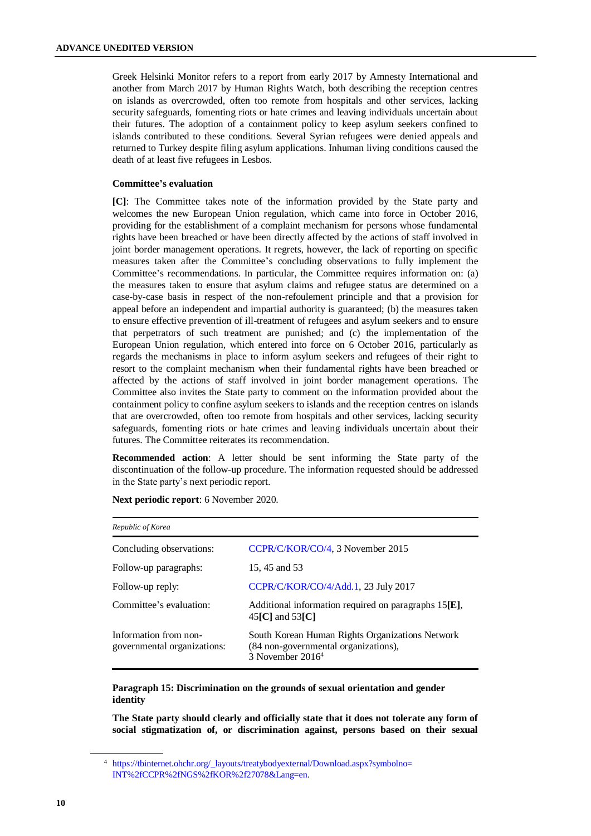Greek Helsinki Monitor refers to a report from early 2017 by Amnesty International and another from March 2017 by Human Rights Watch, both describing the reception centres on islands as overcrowded, often too remote from hospitals and other services, lacking security safeguards, fomenting riots or hate crimes and leaving individuals uncertain about their futures. The adoption of a containment policy to keep asylum seekers confined to islands contributed to these conditions. Several Syrian refugees were denied appeals and returned to Turkey despite filing asylum applications. Inhuman living conditions caused the death of at least five refugees in Lesbos.

# **Committee's evaluation**

**[C]**: The Committee takes note of the information provided by the State party and welcomes the new European Union regulation, which came into force in October 2016, providing for the establishment of a complaint mechanism for persons whose fundamental rights have been breached or have been directly affected by the actions of staff involved in joint border management operations. It regrets, however, the lack of reporting on specific measures taken after the Committee's concluding observations to fully implement the Committee's recommendations. In particular, the Committee requires information on: (a) the measures taken to ensure that asylum claims and refugee status are determined on a case-by-case basis in respect of the non-refoulement principle and that a provision for appeal before an independent and impartial authority is guaranteed; (b) the measures taken to ensure effective prevention of ill-treatment of refugees and asylum seekers and to ensure that perpetrators of such treatment are punished; and (c) the implementation of the European Union regulation, which entered into force on 6 October 2016, particularly as regards the mechanisms in place to inform asylum seekers and refugees of their right to resort to the complaint mechanism when their fundamental rights have been breached or affected by the actions of staff involved in joint border management operations. The Committee also invites the State party to comment on the information provided about the containment policy to confine asylum seekers to islands and the reception centres on islands that are overcrowded, often too remote from hospitals and other services, lacking security safeguards, fomenting riots or hate crimes and leaving individuals uncertain about their futures. The Committee reiterates its recommendation.

**Recommended action**: A letter should be sent informing the State party of the discontinuation of the follow-up procedure. The information requested should be addressed in the State party's next periodic report.

| Republic of Korea                                                                                             |  |  |
|---------------------------------------------------------------------------------------------------------------|--|--|
| CCPR/C/KOR/CO/4, 3 November 2015                                                                              |  |  |
| 15, 45 and 53                                                                                                 |  |  |
| CCPR/C/KOR/CO/4/Add.1, 23 July 2017                                                                           |  |  |
| Additional information required on paragraphs $15[E]$ ,<br>$45\text{[C]}$ and $53\text{[C]}$                  |  |  |
| South Korean Human Rights Organizations Network<br>(84 non-governmental organizations),<br>3 November $20164$ |  |  |
|                                                                                                               |  |  |

**Next periodic report**: 6 November 2020.

# **Paragraph 15: Discrimination on the grounds of sexual orientation and gender identity**

**The State party should clearly and officially state that it does not tolerate any form of social stigmatization of, or discrimination against, persons based on their sexual** 

<sup>4</sup> [https://tbinternet.ohchr.org/\\_layouts/treatybodyexternal/Download.aspx?symbolno=](https://tbinternet.ohchr.org/_layouts/treatybodyexternal/Download.aspx?symbolno=INT%2fCCPR%2fNGS%2fKOR%2f27078&Lang=en)  [INT%2fCCPR%2fNGS%2fKOR%2f27078&Lang=en.](https://tbinternet.ohchr.org/_layouts/treatybodyexternal/Download.aspx?symbolno=INT%2fCCPR%2fNGS%2fKOR%2f27078&Lang=en)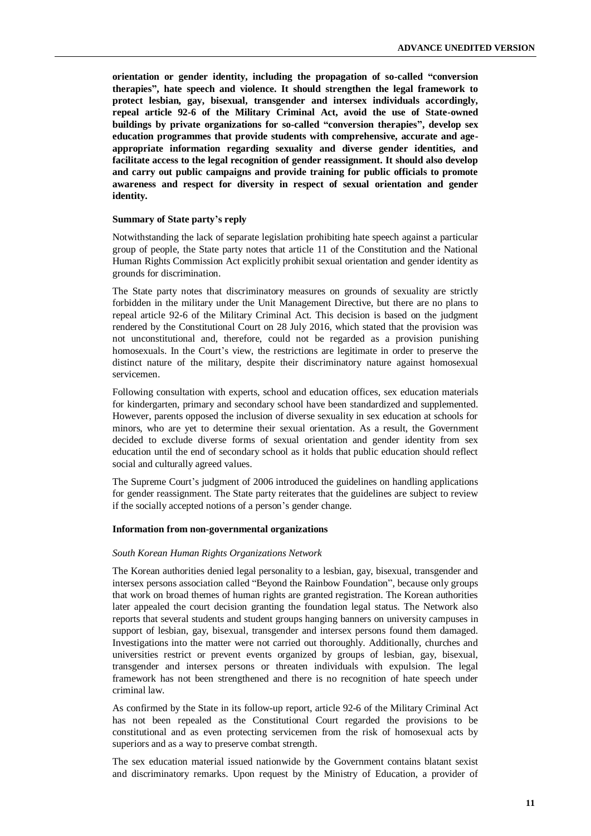**orientation or gender identity, including the propagation of so-called "conversion therapies", hate speech and violence. It should strengthen the legal framework to protect lesbian, gay, bisexual, transgender and intersex individuals accordingly, repeal article 92-6 of the Military Criminal Act, avoid the use of State-owned buildings by private organizations for so-called "conversion therapies", develop sex education programmes that provide students with comprehensive, accurate and ageappropriate information regarding sexuality and diverse gender identities, and facilitate access to the legal recognition of gender reassignment. It should also develop and carry out public campaigns and provide training for public officials to promote awareness and respect for diversity in respect of sexual orientation and gender identity.**

#### **Summary of State party's reply**

Notwithstanding the lack of separate legislation prohibiting hate speech against a particular group of people, the State party notes that article 11 of the Constitution and the National Human Rights Commission Act explicitly prohibit sexual orientation and gender identity as grounds for discrimination.

The State party notes that discriminatory measures on grounds of sexuality are strictly forbidden in the military under the Unit Management Directive, but there are no plans to repeal article 92-6 of the Military Criminal Act. This decision is based on the judgment rendered by the Constitutional Court on 28 July 2016, which stated that the provision was not unconstitutional and, therefore, could not be regarded as a provision punishing homosexuals. In the Court's view, the restrictions are legitimate in order to preserve the distinct nature of the military, despite their discriminatory nature against homosexual servicemen.

Following consultation with experts, school and education offices, sex education materials for kindergarten, primary and secondary school have been standardized and supplemented. However, parents opposed the inclusion of diverse sexuality in sex education at schools for minors, who are yet to determine their sexual orientation. As a result, the Government decided to exclude diverse forms of sexual orientation and gender identity from sex education until the end of secondary school as it holds that public education should reflect social and culturally agreed values.

The Supreme Court's judgment of 2006 introduced the guidelines on handling applications for gender reassignment. The State party reiterates that the guidelines are subject to review if the socially accepted notions of a person's gender change.

# **Information from non-governmental organizations**

#### *South Korean Human Rights Organizations Network*

The Korean authorities denied legal personality to a lesbian, gay, bisexual, transgender and intersex persons association called "Beyond the Rainbow Foundation", because only groups that work on broad themes of human rights are granted registration. The Korean authorities later appealed the court decision granting the foundation legal status. The Network also reports that several students and student groups hanging banners on university campuses in support of lesbian, gay, bisexual, transgender and intersex persons found them damaged. Investigations into the matter were not carried out thoroughly. Additionally, churches and universities restrict or prevent events organized by groups of lesbian, gay, bisexual, transgender and intersex persons or threaten individuals with expulsion. The legal framework has not been strengthened and there is no recognition of hate speech under criminal law.

As confirmed by the State in its follow-up report, article 92-6 of the Military Criminal Act has not been repealed as the Constitutional Court regarded the provisions to be constitutional and as even protecting servicemen from the risk of homosexual acts by superiors and as a way to preserve combat strength.

The sex education material issued nationwide by the Government contains blatant sexist and discriminatory remarks. Upon request by the Ministry of Education, a provider of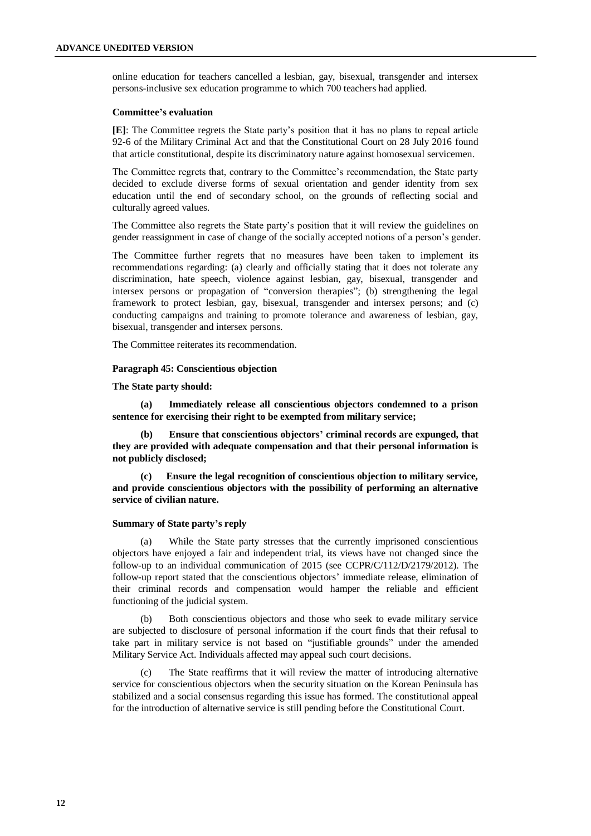online education for teachers cancelled a lesbian, gay, bisexual, transgender and intersex persons-inclusive sex education programme to which 700 teachers had applied.

#### **Committee's evaluation**

**[E]**: The Committee regrets the State party's position that it has no plans to repeal article 92-6 of the Military Criminal Act and that the Constitutional Court on 28 July 2016 found that article constitutional, despite its discriminatory nature against homosexual servicemen.

The Committee regrets that, contrary to the Committee's recommendation, the State party decided to exclude diverse forms of sexual orientation and gender identity from sex education until the end of secondary school, on the grounds of reflecting social and culturally agreed values.

The Committee also regrets the State party's position that it will review the guidelines on gender reassignment in case of change of the socially accepted notions of a person's gender.

The Committee further regrets that no measures have been taken to implement its recommendations regarding: (a) clearly and officially stating that it does not tolerate any discrimination, hate speech, violence against lesbian, gay, bisexual, transgender and intersex persons or propagation of "conversion therapies"; (b) strengthening the legal framework to protect lesbian, gay, bisexual, transgender and intersex persons; and (c) conducting campaigns and training to promote tolerance and awareness of lesbian, gay, bisexual, transgender and intersex persons.

The Committee reiterates its recommendation.

#### **Paragraph 45: Conscientious objection**

**The State party should:**

**(a) Immediately release all conscientious objectors condemned to a prison sentence for exercising their right to be exempted from military service;**

**(b) Ensure that conscientious objectors' criminal records are expunged, that they are provided with adequate compensation and that their personal information is not publicly disclosed;**

**(c) Ensure the legal recognition of conscientious objection to military service, and provide conscientious objectors with the possibility of performing an alternative service of civilian nature.**

#### **Summary of State party's reply**

(a) While the State party stresses that the currently imprisoned conscientious objectors have enjoyed a fair and independent trial, its views have not changed since the follow-up to an individual communication of 2015 (see CCPR/C/112/D/2179/2012). The follow-up report stated that the conscientious objectors' immediate release, elimination of their criminal records and compensation would hamper the reliable and efficient functioning of the judicial system.

(b) Both conscientious objectors and those who seek to evade military service are subjected to disclosure of personal information if the court finds that their refusal to take part in military service is not based on "justifiable grounds" under the amended Military Service Act. Individuals affected may appeal such court decisions.

(c) The State reaffirms that it will review the matter of introducing alternative service for conscientious objectors when the security situation on the Korean Peninsula has stabilized and a social consensus regarding this issue has formed. The constitutional appeal for the introduction of alternative service is still pending before the Constitutional Court.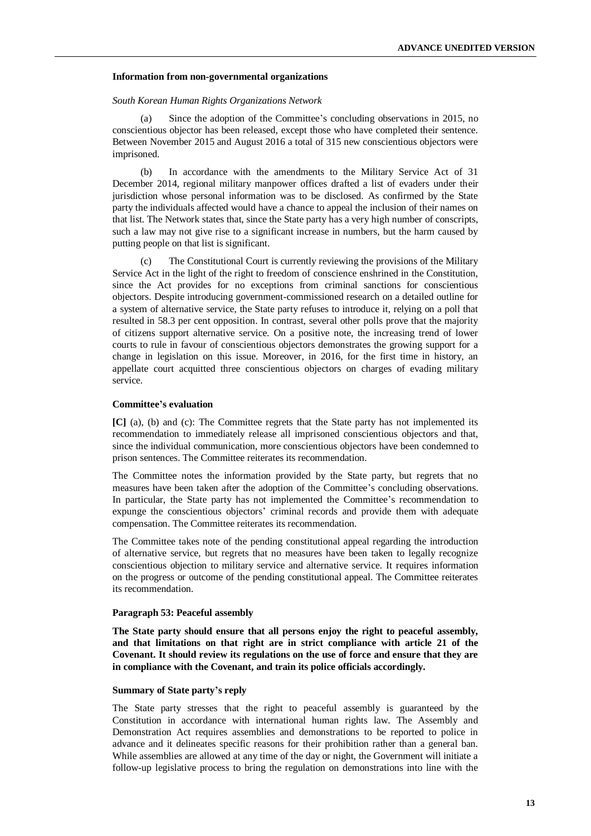#### **Information from non-governmental organizations**

#### *South Korean Human Rights Organizations Network*

(a) Since the adoption of the Committee's concluding observations in 2015, no conscientious objector has been released, except those who have completed their sentence. Between November 2015 and August 2016 a total of 315 new conscientious objectors were imprisoned.

(b) In accordance with the amendments to the Military Service Act of 31 December 2014, regional military manpower offices drafted a list of evaders under their jurisdiction whose personal information was to be disclosed. As confirmed by the State party the individuals affected would have a chance to appeal the inclusion of their names on that list. The Network states that, since the State party has a very high number of conscripts, such a law may not give rise to a significant increase in numbers, but the harm caused by putting people on that list is significant.

(c) The Constitutional Court is currently reviewing the provisions of the Military Service Act in the light of the right to freedom of conscience enshrined in the Constitution, since the Act provides for no exceptions from criminal sanctions for conscientious objectors. Despite introducing government-commissioned research on a detailed outline for a system of alternative service, the State party refuses to introduce it, relying on a poll that resulted in 58.3 per cent opposition. In contrast, several other polls prove that the majority of citizens support alternative service. On a positive note, the increasing trend of lower courts to rule in favour of conscientious objectors demonstrates the growing support for a change in legislation on this issue. Moreover, in 2016, for the first time in history, an appellate court acquitted three conscientious objectors on charges of evading military service.

#### **Committee's evaluation**

**[C]** (a), (b) and (c): The Committee regrets that the State party has not implemented its recommendation to immediately release all imprisoned conscientious objectors and that, since the individual communication, more conscientious objectors have been condemned to prison sentences. The Committee reiterates its recommendation.

The Committee notes the information provided by the State party, but regrets that no measures have been taken after the adoption of the Committee's concluding observations. In particular, the State party has not implemented the Committee's recommendation to expunge the conscientious objectors' criminal records and provide them with adequate compensation. The Committee reiterates its recommendation.

The Committee takes note of the pending constitutional appeal regarding the introduction of alternative service, but regrets that no measures have been taken to legally recognize conscientious objection to military service and alternative service. It requires information on the progress or outcome of the pending constitutional appeal. The Committee reiterates its recommendation.

#### **Paragraph 53: Peaceful assembly**

**The State party should ensure that all persons enjoy the right to peaceful assembly, and that limitations on that right are in strict compliance with article 21 of the Covenant. It should review its regulations on the use of force and ensure that they are in compliance with the Covenant, and train its police officials accordingly.**

#### **Summary of State party's reply**

The State party stresses that the right to peaceful assembly is guaranteed by the Constitution in accordance with international human rights law. The Assembly and Demonstration Act requires assemblies and demonstrations to be reported to police in advance and it delineates specific reasons for their prohibition rather than a general ban. While assemblies are allowed at any time of the day or night, the Government will initiate a follow-up legislative process to bring the regulation on demonstrations into line with the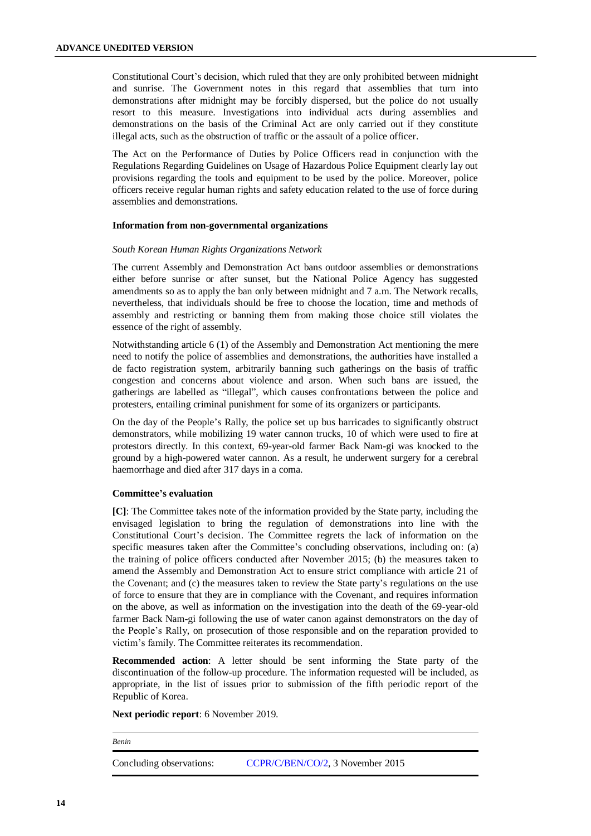Constitutional Court's decision, which ruled that they are only prohibited between midnight and sunrise. The Government notes in this regard that assemblies that turn into demonstrations after midnight may be forcibly dispersed, but the police do not usually resort to this measure. Investigations into individual acts during assemblies and demonstrations on the basis of the Criminal Act are only carried out if they constitute illegal acts, such as the obstruction of traffic or the assault of a police officer.

The Act on the Performance of Duties by Police Officers read in conjunction with the Regulations Regarding Guidelines on Usage of Hazardous Police Equipment clearly lay out provisions regarding the tools and equipment to be used by the police. Moreover, police officers receive regular human rights and safety education related to the use of force during assemblies and demonstrations.

#### **Information from non-governmental organizations**

#### *South Korean Human Rights Organizations Network*

The current Assembly and Demonstration Act bans outdoor assemblies or demonstrations either before sunrise or after sunset, but the National Police Agency has suggested amendments so as to apply the ban only between midnight and 7 a.m. The Network recalls, nevertheless, that individuals should be free to choose the location, time and methods of assembly and restricting or banning them from making those choice still violates the essence of the right of assembly.

Notwithstanding article 6 (1) of the Assembly and Demonstration Act mentioning the mere need to notify the police of assemblies and demonstrations, the authorities have installed a de facto registration system, arbitrarily banning such gatherings on the basis of traffic congestion and concerns about violence and arson. When such bans are issued, the gatherings are labelled as "illegal", which causes confrontations between the police and protesters, entailing criminal punishment for some of its organizers or participants.

On the day of the People's Rally, the police set up bus barricades to significantly obstruct demonstrators, while mobilizing 19 water cannon trucks, 10 of which were used to fire at protestors directly. In this context, 69-year-old farmer Back Nam-gi was knocked to the ground by a high-powered water cannon. As a result, he underwent surgery for a cerebral haemorrhage and died after 317 days in a coma.

# **Committee's evaluation**

**[C]**: The Committee takes note of the information provided by the State party, including the envisaged legislation to bring the regulation of demonstrations into line with the Constitutional Court's decision. The Committee regrets the lack of information on the specific measures taken after the Committee's concluding observations, including on: (a) the training of police officers conducted after November 2015; (b) the measures taken to amend the Assembly and Demonstration Act to ensure strict compliance with article 21 of the Covenant; and (c) the measures taken to review the State party's regulations on the use of force to ensure that they are in compliance with the Covenant, and requires information on the above, as well as information on the investigation into the death of the 69-year-old farmer Back Nam-gi following the use of water canon against demonstrators on the day of the People's Rally, on prosecution of those responsible and on the reparation provided to victim's family. The Committee reiterates its recommendation.

**Recommended action**: A letter should be sent informing the State party of the discontinuation of the follow-up procedure. The information requested will be included, as appropriate, in the list of issues prior to submission of the fifth periodic report of the Republic of Korea.

**Next periodic report**: 6 November 2019.

*Benin*

Concluding observations: [CCPR/C/BEN/CO/2,](https://undocs.org/en/CCPR/C/BEN/CO/2) 3 November 2015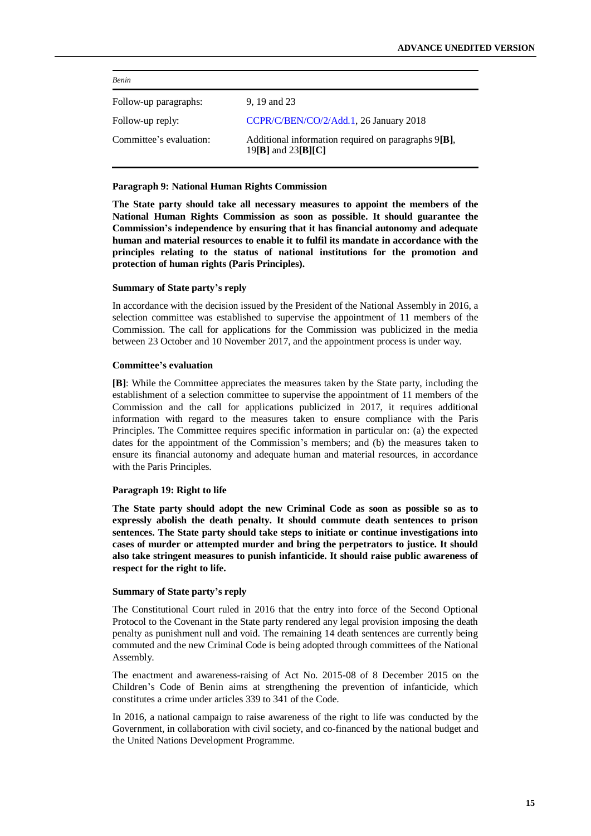| <b>Benin</b>            |                                                                                 |  |  |
|-------------------------|---------------------------------------------------------------------------------|--|--|
| Follow-up paragraphs:   | 9, 19 and 23                                                                    |  |  |
| Follow-up reply:        | CCPR/C/BEN/CO/2/Add.1, 26 January 2018                                          |  |  |
| Committee's evaluation: | Additional information required on paragraphs 9[B],<br>19 $[B]$ and 23 $[B][C]$ |  |  |

#### **Paragraph 9: National Human Rights Commission**

**The State party should take all necessary measures to appoint the members of the National Human Rights Commission as soon as possible. It should guarantee the Commission's independence by ensuring that it has financial autonomy and adequate human and material resources to enable it to fulfil its mandate in accordance with the principles relating to the status of national institutions for the promotion and protection of human rights (Paris Principles).**

# **Summary of State party's reply**

In accordance with the decision issued by the President of the National Assembly in 2016, a selection committee was established to supervise the appointment of 11 members of the Commission. The call for applications for the Commission was publicized in the media between 23 October and 10 November 2017, and the appointment process is under way.

#### **Committee's evaluation**

**[B]**: While the Committee appreciates the measures taken by the State party, including the establishment of a selection committee to supervise the appointment of 11 members of the Commission and the call for applications publicized in 2017, it requires additional information with regard to the measures taken to ensure compliance with the Paris Principles. The Committee requires specific information in particular on: (a) the expected dates for the appointment of the Commission's members; and (b) the measures taken to ensure its financial autonomy and adequate human and material resources, in accordance with the Paris Principles.

#### **Paragraph 19: Right to life**

**The State party should adopt the new Criminal Code as soon as possible so as to expressly abolish the death penalty. It should commute death sentences to prison sentences. The State party should take steps to initiate or continue investigations into cases of murder or attempted murder and bring the perpetrators to justice. It should also take stringent measures to punish infanticide. It should raise public awareness of respect for the right to life.**

# **Summary of State party's reply**

The Constitutional Court ruled in 2016 that the entry into force of the Second Optional Protocol to the Covenant in the State party rendered any legal provision imposing the death penalty as punishment null and void. The remaining 14 death sentences are currently being commuted and the new Criminal Code is being adopted through committees of the National Assembly.

The enactment and awareness-raising of Act No. 2015-08 of 8 December 2015 on the Children's Code of Benin aims at strengthening the prevention of infanticide, which constitutes a crime under articles 339 to 341 of the Code.

In 2016, a national campaign to raise awareness of the right to life was conducted by the Government, in collaboration with civil society, and co-financed by the national budget and the United Nations Development Programme.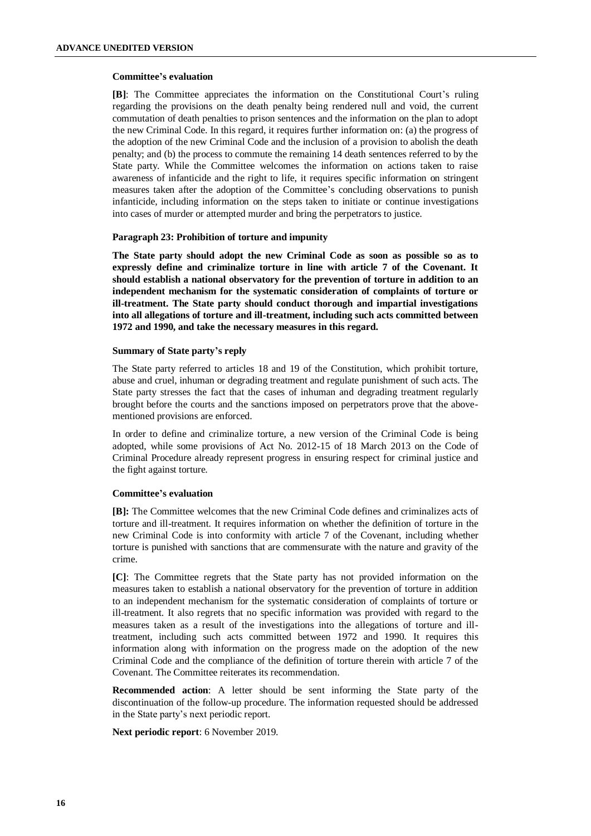# **Committee's evaluation**

**[B]**: The Committee appreciates the information on the Constitutional Court's ruling regarding the provisions on the death penalty being rendered null and void, the current commutation of death penalties to prison sentences and the information on the plan to adopt the new Criminal Code. In this regard, it requires further information on: (a) the progress of the adoption of the new Criminal Code and the inclusion of a provision to abolish the death penalty; and (b) the process to commute the remaining 14 death sentences referred to by the State party. While the Committee welcomes the information on actions taken to raise awareness of infanticide and the right to life, it requires specific information on stringent measures taken after the adoption of the Committee's concluding observations to punish infanticide, including information on the steps taken to initiate or continue investigations into cases of murder or attempted murder and bring the perpetrators to justice.

# **Paragraph 23: Prohibition of torture and impunity**

**The State party should adopt the new Criminal Code as soon as possible so as to expressly define and criminalize torture in line with article 7 of the Covenant. It should establish a national observatory for the prevention of torture in addition to an independent mechanism for the systematic consideration of complaints of torture or ill-treatment. The State party should conduct thorough and impartial investigations into all allegations of torture and ill-treatment, including such acts committed between 1972 and 1990, and take the necessary measures in this regard.**

#### **Summary of State party's reply**

The State party referred to articles 18 and 19 of the Constitution, which prohibit torture, abuse and cruel, inhuman or degrading treatment and regulate punishment of such acts. The State party stresses the fact that the cases of inhuman and degrading treatment regularly brought before the courts and the sanctions imposed on perpetrators prove that the abovementioned provisions are enforced.

In order to define and criminalize torture, a new version of the Criminal Code is being adopted, while some provisions of Act No. 2012-15 of 18 March 2013 on the Code of Criminal Procedure already represent progress in ensuring respect for criminal justice and the fight against torture.

# **Committee's evaluation**

**[B]:** The Committee welcomes that the new Criminal Code defines and criminalizes acts of torture and ill-treatment. It requires information on whether the definition of torture in the new Criminal Code is into conformity with article 7 of the Covenant, including whether torture is punished with sanctions that are commensurate with the nature and gravity of the crime.

**[C]**: The Committee regrets that the State party has not provided information on the measures taken to establish a national observatory for the prevention of torture in addition to an independent mechanism for the systematic consideration of complaints of torture or ill-treatment. It also regrets that no specific information was provided with regard to the measures taken as a result of the investigations into the allegations of torture and illtreatment, including such acts committed between 1972 and 1990. It requires this information along with information on the progress made on the adoption of the new Criminal Code and the compliance of the definition of torture therein with article 7 of the Covenant. The Committee reiterates its recommendation.

**Recommended action:** A letter should be sent informing the State party of the discontinuation of the follow-up procedure. The information requested should be addressed in the State party's next periodic report.

**Next periodic report**: 6 November 2019.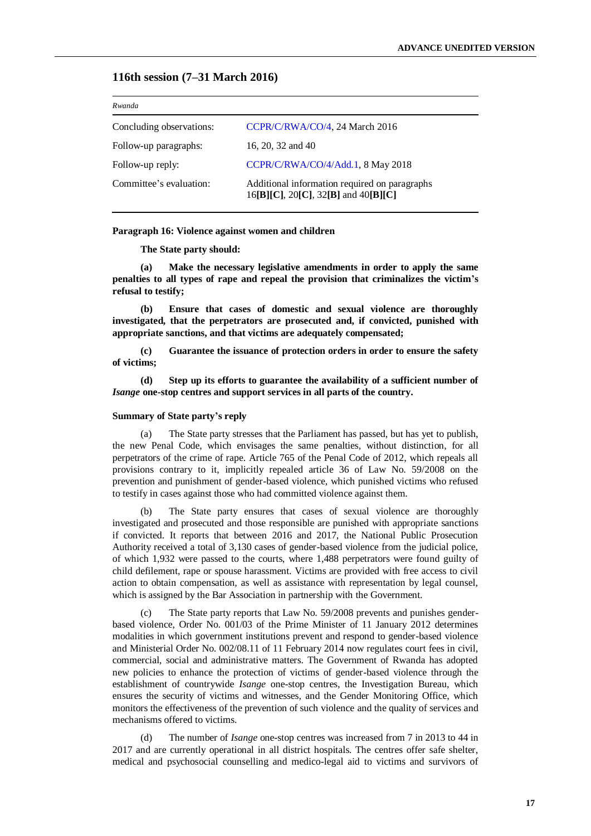# **116th session (7–31 March 2016)**

| Rwanda                   |                                                                                      |  |  |
|--------------------------|--------------------------------------------------------------------------------------|--|--|
| Concluding observations: | CCPR/C/RWA/CO/4, 24 March 2016                                                       |  |  |
| Follow-up paragraphs:    | 16, 20, 32 and 40                                                                    |  |  |
| Follow-up reply:         | CCPR/C/RWA/CO/4/Add.1, 8 May 2018                                                    |  |  |
| Committee's evaluation:  | Additional information required on paragraphs<br>16[B][C], 20[C], 32[B] and 40[B][C] |  |  |

#### **Paragraph 16: Violence against women and children**

#### **The State party should:**

**(a) Make the necessary legislative amendments in order to apply the same penalties to all types of rape and repeal the provision that criminalizes the victim's refusal to testify;**

**(b) Ensure that cases of domestic and sexual violence are thoroughly investigated, that the perpetrators are prosecuted and, if convicted, punished with appropriate sanctions, and that victims are adequately compensated;**

**(c) Guarantee the issuance of protection orders in order to ensure the safety of victims;**

**(d) Step up its efforts to guarantee the availability of a sufficient number of**  *Isange* **one-stop centres and support services in all parts of the country.**

#### **Summary of State party's reply**

(a) The State party stresses that the Parliament has passed, but has yet to publish, the new Penal Code, which envisages the same penalties, without distinction, for all perpetrators of the crime of rape. Article 765 of the Penal Code of 2012, which repeals all provisions contrary to it, implicitly repealed article 36 of Law No. 59/2008 on the prevention and punishment of gender-based violence, which punished victims who refused to testify in cases against those who had committed violence against them.

(b) The State party ensures that cases of sexual violence are thoroughly investigated and prosecuted and those responsible are punished with appropriate sanctions if convicted. It reports that between 2016 and 2017, the National Public Prosecution Authority received a total of 3,130 cases of gender-based violence from the judicial police, of which 1,932 were passed to the courts, where 1,488 perpetrators were found guilty of child defilement, rape or spouse harassment. Victims are provided with free access to civil action to obtain compensation, as well as assistance with representation by legal counsel, which is assigned by the Bar Association in partnership with the Government.

The State party reports that Law No. 59/2008 prevents and punishes genderbased violence, Order No. 001/03 of the Prime Minister of 11 January 2012 determines modalities in which government institutions prevent and respond to gender-based violence and Ministerial Order No. 002/08.11 of 11 February 2014 now regulates court fees in civil, commercial, social and administrative matters. The Government of Rwanda has adopted new policies to enhance the protection of victims of gender-based violence through the establishment of countrywide *Isange* one-stop centres, the Investigation Bureau, which ensures the security of victims and witnesses, and the Gender Monitoring Office, which monitors the effectiveness of the prevention of such violence and the quality of services and mechanisms offered to victims.

(d) The number of *Isange* one-stop centres was increased from 7 in 2013 to 44 in 2017 and are currently operational in all district hospitals. The centres offer safe shelter, medical and psychosocial counselling and medico-legal aid to victims and survivors of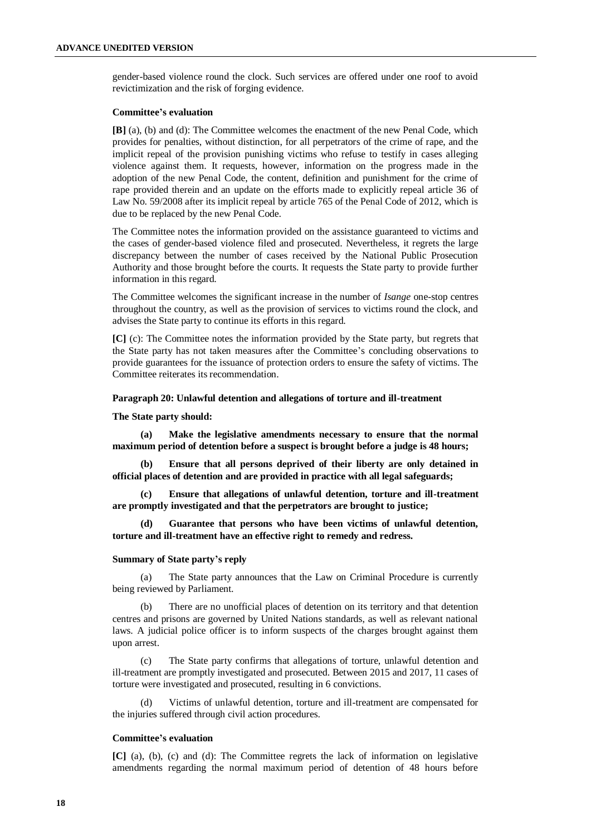gender-based violence round the clock. Such services are offered under one roof to avoid revictimization and the risk of forging evidence.

#### **Committee's evaluation**

**[B]** (a), (b) and (d): The Committee welcomes the enactment of the new Penal Code, which provides for penalties, without distinction, for all perpetrators of the crime of rape, and the implicit repeal of the provision punishing victims who refuse to testify in cases alleging violence against them. It requests, however, information on the progress made in the adoption of the new Penal Code, the content, definition and punishment for the crime of rape provided therein and an update on the efforts made to explicitly repeal article 36 of Law No. 59/2008 after its implicit repeal by article 765 of the Penal Code of 2012, which is due to be replaced by the new Penal Code.

The Committee notes the information provided on the assistance guaranteed to victims and the cases of gender-based violence filed and prosecuted. Nevertheless, it regrets the large discrepancy between the number of cases received by the National Public Prosecution Authority and those brought before the courts. It requests the State party to provide further information in this regard.

The Committee welcomes the significant increase in the number of *Isange* one-stop centres throughout the country, as well as the provision of services to victims round the clock, and advises the State party to continue its efforts in this regard.

**[C]** (c): The Committee notes the information provided by the State party, but regrets that the State party has not taken measures after the Committee's concluding observations to provide guarantees for the issuance of protection orders to ensure the safety of victims. The Committee reiterates its recommendation.

# **Paragraph 20: Unlawful detention and allegations of torture and ill-treatment**

#### **The State party should:**

**(a) Make the legislative amendments necessary to ensure that the normal maximum period of detention before a suspect is brought before a judge is 48 hours;**

**(b) Ensure that all persons deprived of their liberty are only detained in official places of detention and are provided in practice with all legal safeguards;**

**(c) Ensure that allegations of unlawful detention, torture and ill-treatment are promptly investigated and that the perpetrators are brought to justice;**

**(d) Guarantee that persons who have been victims of unlawful detention, torture and ill-treatment have an effective right to remedy and redress.**

#### **Summary of State party's reply**

(a) The State party announces that the Law on Criminal Procedure is currently being reviewed by Parliament.

(b) There are no unofficial places of detention on its territory and that detention centres and prisons are governed by United Nations standards, as well as relevant national laws. A judicial police officer is to inform suspects of the charges brought against them upon arrest.

(c) The State party confirms that allegations of torture, unlawful detention and ill-treatment are promptly investigated and prosecuted. Between 2015 and 2017, 11 cases of torture were investigated and prosecuted, resulting in 6 convictions.

(d) Victims of unlawful detention, torture and ill-treatment are compensated for the injuries suffered through civil action procedures.

#### **Committee's evaluation**

**[C]** (a), (b), (c) and (d): The Committee regrets the lack of information on legislative amendments regarding the normal maximum period of detention of 48 hours before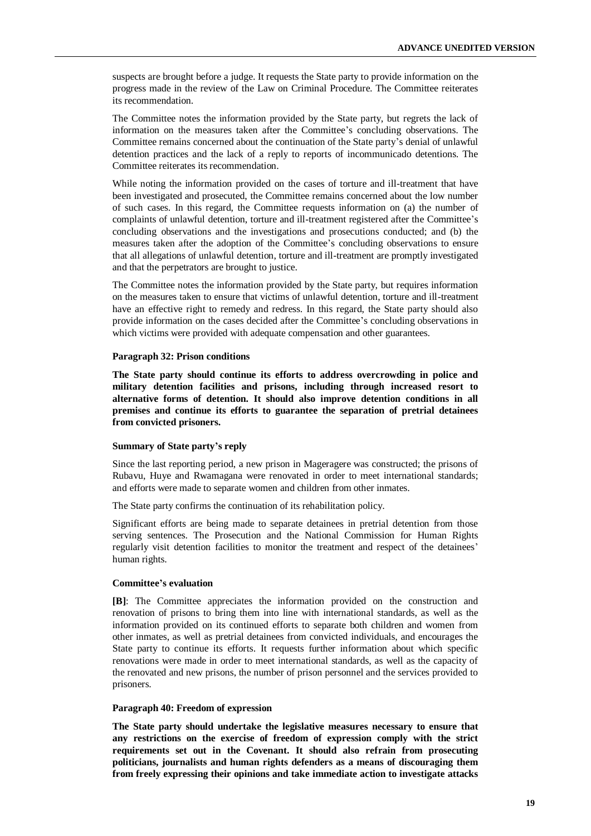suspects are brought before a judge. It requests the State party to provide information on the progress made in the review of the Law on Criminal Procedure. The Committee reiterates its recommendation.

The Committee notes the information provided by the State party, but regrets the lack of information on the measures taken after the Committee's concluding observations. The Committee remains concerned about the continuation of the State party's denial of unlawful detention practices and the lack of a reply to reports of incommunicado detentions. The Committee reiterates its recommendation.

While noting the information provided on the cases of torture and ill-treatment that have been investigated and prosecuted, the Committee remains concerned about the low number of such cases. In this regard, the Committee requests information on (a) the number of complaints of unlawful detention, torture and ill-treatment registered after the Committee's concluding observations and the investigations and prosecutions conducted; and (b) the measures taken after the adoption of the Committee's concluding observations to ensure that all allegations of unlawful detention, torture and ill-treatment are promptly investigated and that the perpetrators are brought to justice.

The Committee notes the information provided by the State party, but requires information on the measures taken to ensure that victims of unlawful detention, torture and ill-treatment have an effective right to remedy and redress. In this regard, the State party should also provide information on the cases decided after the Committee's concluding observations in which victims were provided with adequate compensation and other guarantees.

#### **Paragraph 32: Prison conditions**

**The State party should continue its efforts to address overcrowding in police and military detention facilities and prisons, including through increased resort to alternative forms of detention. It should also improve detention conditions in all premises and continue its efforts to guarantee the separation of pretrial detainees from convicted prisoners.**

#### **Summary of State party's reply**

Since the last reporting period, a new prison in Mageragere was constructed; the prisons of Rubavu, Huye and Rwamagana were renovated in order to meet international standards; and efforts were made to separate women and children from other inmates.

The State party confirms the continuation of its rehabilitation policy.

Significant efforts are being made to separate detainees in pretrial detention from those serving sentences. The Prosecution and the National Commission for Human Rights regularly visit detention facilities to monitor the treatment and respect of the detainees' human rights.

# **Committee's evaluation**

**[B]**: The Committee appreciates the information provided on the construction and renovation of prisons to bring them into line with international standards, as well as the information provided on its continued efforts to separate both children and women from other inmates, as well as pretrial detainees from convicted individuals, and encourages the State party to continue its efforts. It requests further information about which specific renovations were made in order to meet international standards, as well as the capacity of the renovated and new prisons, the number of prison personnel and the services provided to prisoners.

#### **Paragraph 40: Freedom of expression**

**The State party should undertake the legislative measures necessary to ensure that any restrictions on the exercise of freedom of expression comply with the strict requirements set out in the Covenant. It should also refrain from prosecuting politicians, journalists and human rights defenders as a means of discouraging them from freely expressing their opinions and take immediate action to investigate attacks**